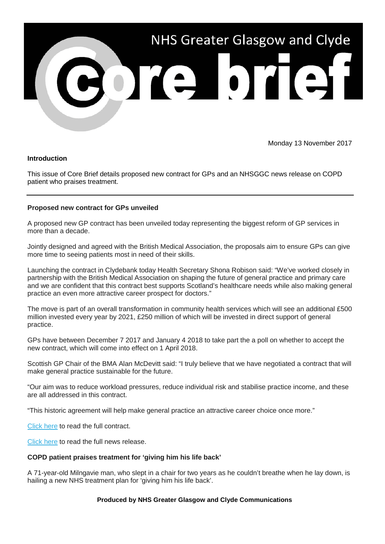

Monday 13 November 2017

## **Introduction**

This issue of Core Brief details proposed new contract for GPs and an NHSGGC news release on COPD patient who praises treatment.

## **Proposed new contract for GPs unveiled**

A proposed new GP contract has been unveiled today representing the biggest reform of GP services in more than a decade.

Jointly designed and agreed with the British Medical Association, the proposals aim to ensure GPs can give more time to seeing patients most in need of their skills.

Launching the contract in Clydebank today Health Secretary Shona Robison said: "We've worked closely in partnership with the British Medical Association on shaping the future of general practice and primary care and we are confident that this contract best supports Scotland's healthcare needs while also making general practice an even more attractive career prospect for doctors."

The move is part of an overall transformation in community health services which will see an additional £500 million invested every year by 2021, £250 million of which will be invested in direct support of general practice.

GPs have between December 7 2017 and January 4 2018 to take part the a poll on whether to accept the new contract, which will come into effect on 1 April 2018.

Scottish GP Chair of the BMA Alan McDevitt said: "I truly believe that we have negotiated a contract that will make general practice sustainable for the future.

"Our aim was to reduce workload pressures, reduce individual risk and stabilise practice income, and these are all addressed in this contract.

"This historic agreement will help make general practice an attractive career choice once more."

[Click here](http://www.gov.scot/Resource/0052/00527530.pdf?utm_source=Core%20Brief&utm_medium=email&utm_campaign=CB_SG_GPcontract) to read the full contract.

[Click here](https://news.gov.scot/news/new-contract-for-gps?utm_source=Core%20Brief&utm_medium=email&utm_campaign=CB_SG_NR_GPcontract) to read the full news release.

## **COPD patient praises treatment for 'giving him his life back'**

A 71-year-old Milngavie man, who slept in a chair for two years as he couldn't breathe when he lay down, is hailing a new NHS treatment plan for 'giving him his life back'.

## **Produced by NHS Greater Glasgow and Clyde Communications**